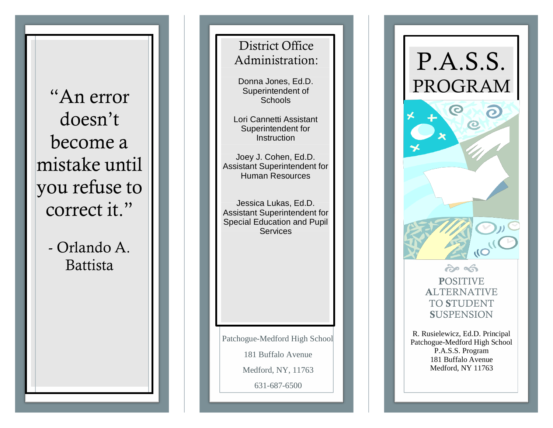"An error doesn't become a mistake until you refu s e to correct it."

> - Orlando A. Battis t a

District Office Admi nistrati on:

Donna Jones, Ed.D. Superintendent of **Schools** 

Lori Cannetti Assistant Superintendent for<br>Instruction

Joe y J. Coh e n , E d.D. Assistant Superintendent for Hu m a n R e s o urces

J essica L u k a s, Ed.D. Assistant Superintendent for Special Education and Pupil **Services** 

Patchogue-Medford High School 181 Buffalo Avenue Medford, NY, 11763

631 -687 -6500